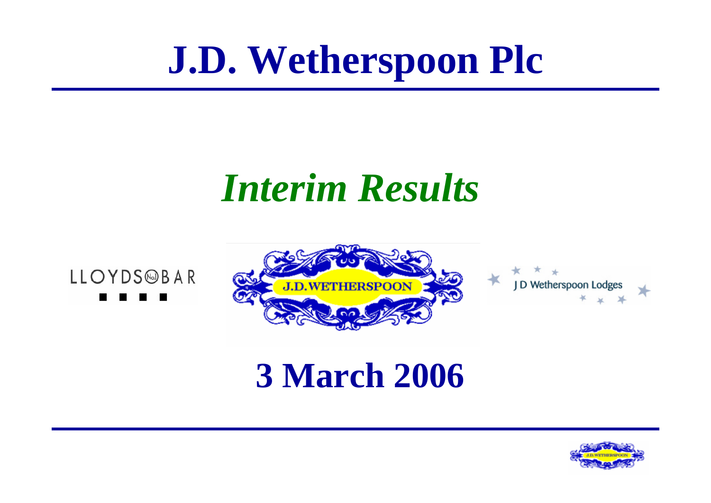# **J.D. Wetherspoon Plc**

### *Interim Results*



LLOYDS@BAR



#### **3 March 2006**

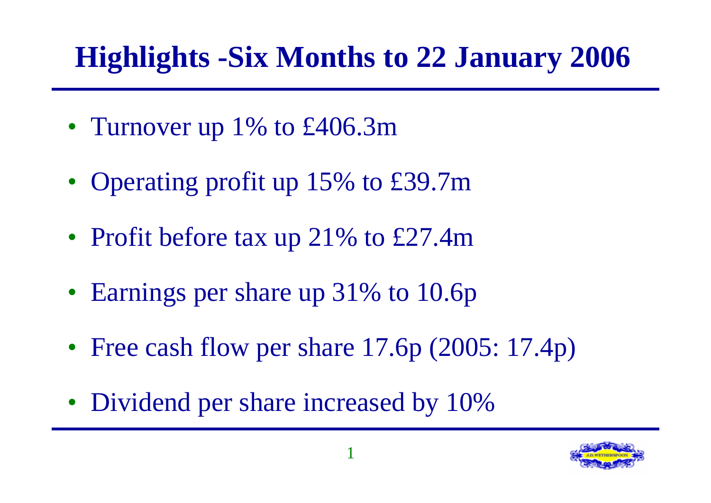#### **Highlights -Six Months to 22 January 2006**

- Turnover up 1% to £406.3m
- Operating profit up 15% to £39.7m
- Profit before tax up 21% to £27.4m
- Earnings per share up 31% to 10.6p
- Free cash flow per share 17.6p (2005: 17.4p)
- Dividend per share increased by 10%

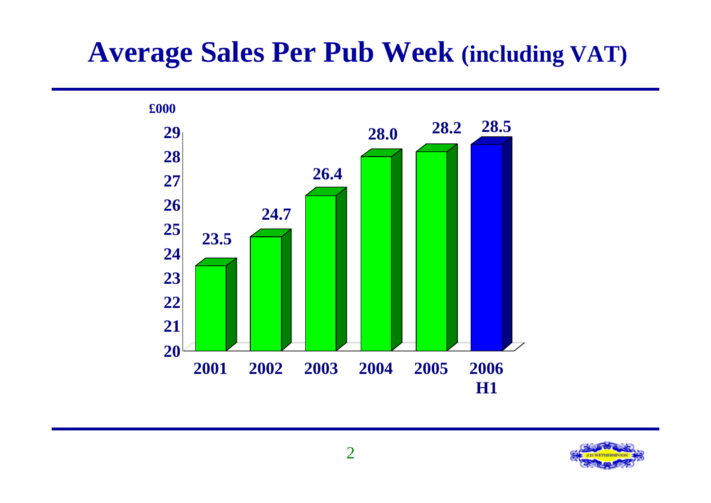#### **Average Sales Per Pub Week (including VAT)**



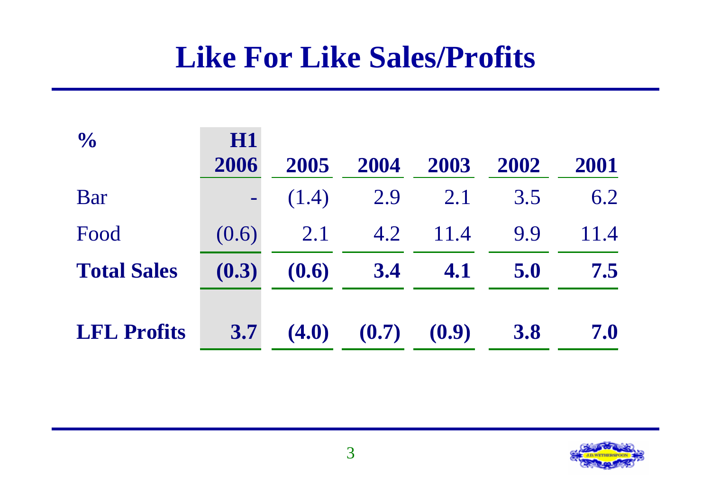#### **Like For Like Sales/Profits**

| $\frac{1}{2}$      | H1<br>2006 | 2005  | 2004  | 2003  | 2002       | 2001 |
|--------------------|------------|-------|-------|-------|------------|------|
| Bar                | $\equiv$   | (1.4) | 2.9   | 2.1   | 3.5        | 6.2  |
| Food               | (0.6)      | 2.1   | 4.2   | 11.4  | 9.9        | 11.4 |
| <b>Total Sales</b> | (0.3)      | (0.6) | 3.4   | 4.1   | 5.0        | 7.5  |
| <b>LFL Profits</b> | 3.7        | (4.0) | (0.7) | (0.9) | <b>3.8</b> | 7.0  |

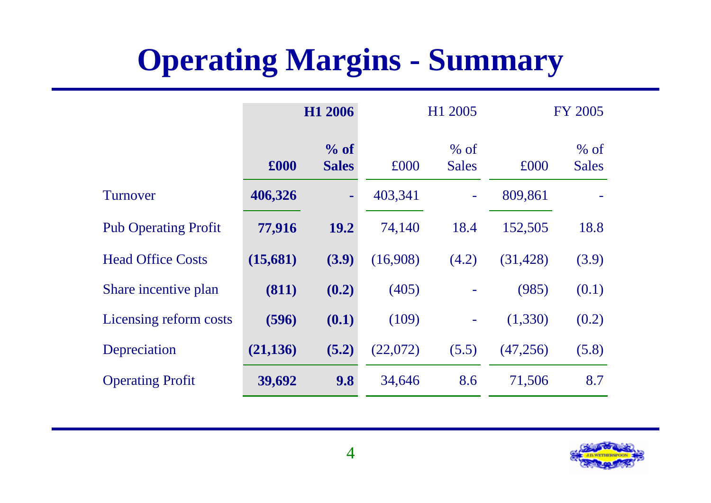#### **Operating Margins - Summary**

|                             |           | H1 2006              |          | H1 2005                |           | <b>FY 2005</b>         |
|-----------------------------|-----------|----------------------|----------|------------------------|-----------|------------------------|
|                             | £000      | % of<br><b>Sales</b> | £000     | $%$ of<br><b>Sales</b> | £000      | $%$ of<br><b>Sales</b> |
| <b>Turnover</b>             | 406,326   | $\blacksquare$       | 403,341  |                        | 809,861   |                        |
| <b>Pub Operating Profit</b> | 77,916    | <b>19.2</b>          | 74,140   | 18.4                   | 152,505   | 18.8                   |
| <b>Head Office Costs</b>    | (15,681)  | (3.9)                | (16,908) | (4.2)                  | (31, 428) | (3.9)                  |
| Share incentive plan        | (811)     | (0.2)                | (405)    |                        | (985)     | (0.1)                  |
| Licensing reform costs      | (596)     | (0.1)                | (109)    | ۰                      | (1,330)   | (0.2)                  |
| Depreciation                | (21, 136) | (5.2)                | (22,072) | (5.5)                  | (47,256)  | (5.8)                  |
| <b>Operating Profit</b>     | 39,692    | 9.8                  | 34,646   | 8.6                    | 71,506    | 8.7                    |

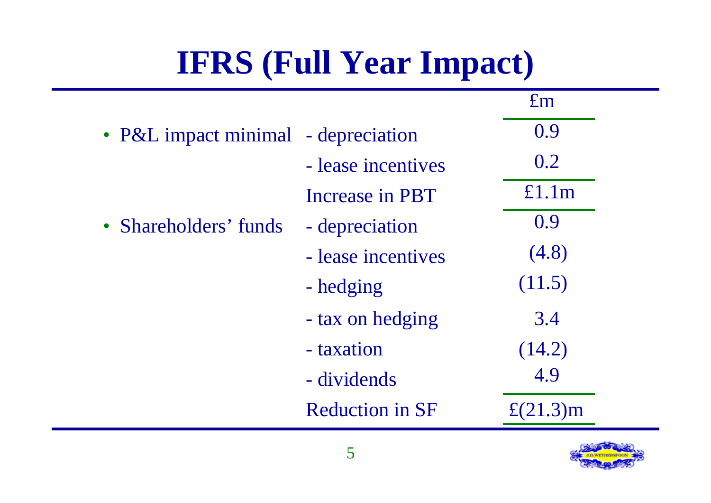### **IFRS (Full Year Impact)**

|                                     |                        | $\pounds$ m       |
|-------------------------------------|------------------------|-------------------|
| • P&L impact minimal - depreciation |                        | 0.9               |
|                                     | - lease incentives     | 0.2               |
|                                     | <b>Increase in PBT</b> | £1.1m             |
| • Shareholders' funds               | - depreciation         | 0.9               |
|                                     | - lease incentives     | (4.8)             |
|                                     | - hedging              | (11.5)            |
|                                     | - tax on hedging       | 3.4               |
|                                     | - taxation             | (14.2)            |
|                                     | - dividends            | 4.9               |
|                                     | <b>Reduction in SF</b> | $\pounds$ (21.3)m |

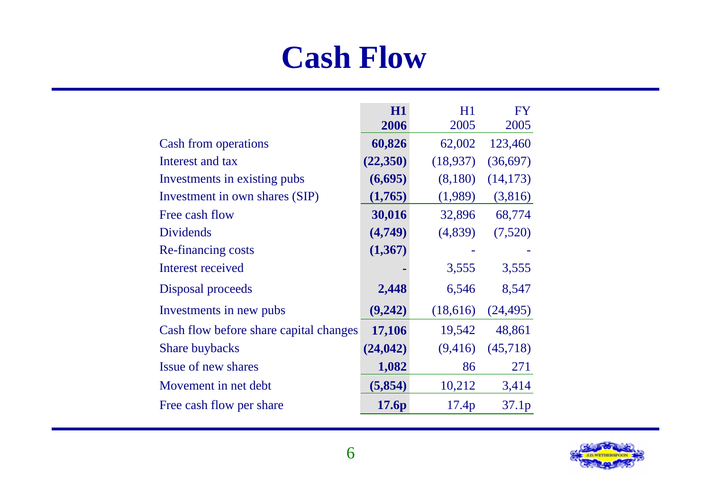#### **Cash Flow**

|                                        | H1        | H1       | <b>FY</b> |
|----------------------------------------|-----------|----------|-----------|
|                                        | 2006      | 2005     | 2005      |
| Cash from operations                   | 60,826    | 62,002   | 123,460   |
| Interest and tax                       | (22,350)  | (18,937) | (36,697)  |
| Investments in existing pubs           | (6,695)   | (8,180)  | (14, 173) |
| Investment in own shares (SIP)         | (1,765)   | (1,989)  | (3,816)   |
| Free cash flow                         | 30,016    | 32,896   | 68,774    |
| <b>Dividends</b>                       | (4,749)   | (4,839)  | (7,520)   |
| Re-financing costs                     | (1, 367)  |          |           |
| Interest received                      |           | 3,555    | 3,555     |
| Disposal proceeds                      | 2,448     | 6,546    | 8,547     |
| Investments in new pubs                | (9,242)   | (18,616) | (24, 495) |
| Cash flow before share capital changes | 17,106    | 19,542   | 48,861    |
| <b>Share buybacks</b>                  | (24, 042) | (9,416)  | (45,718)  |
| Issue of new shares                    | 1,082     | 86       | 271       |
| Movement in net debt                   | (5,854)   | 10,212   | 3,414     |
| Free cash flow per share               | 17.6p     | 17.4p    | 37.1p     |

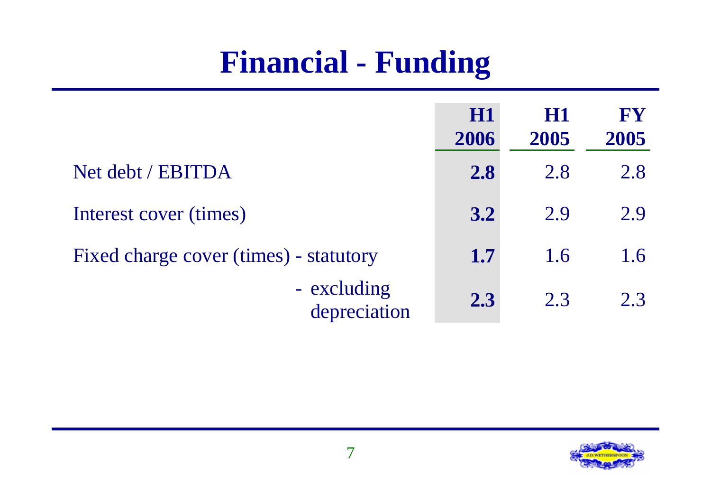#### **Financial - Funding**

|                                        | <b>H1</b><br>2006 | H1<br>2005 | FY<br>2005 |
|----------------------------------------|-------------------|------------|------------|
| Net debt / EBITDA                      | 2.8               | 2.8        | 2.8        |
| Interest cover (times)                 | 3.2               | 2.9        | 2.9        |
| Fixed charge cover (times) - statutory | 1.7               | 1.6        | 1.6        |
| - excluding<br>depreciation            | 2.3               | 2.3        | 2.3        |

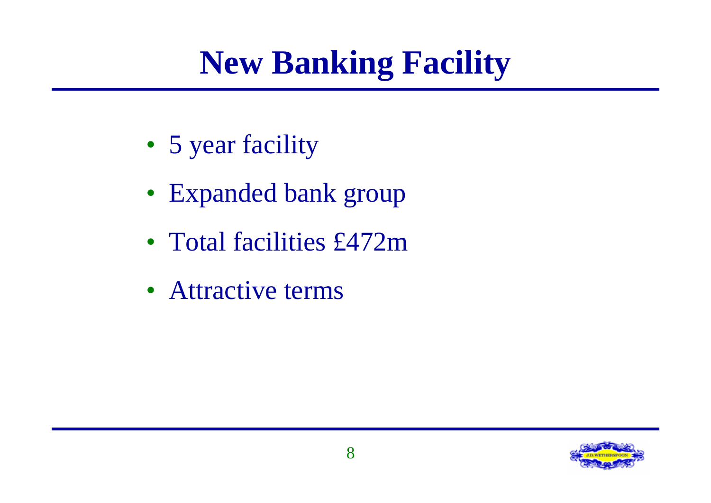#### **New Banking Facility**

- 5 year facility
- Expanded bank group
- Total facilities £472m
- Attractive terms

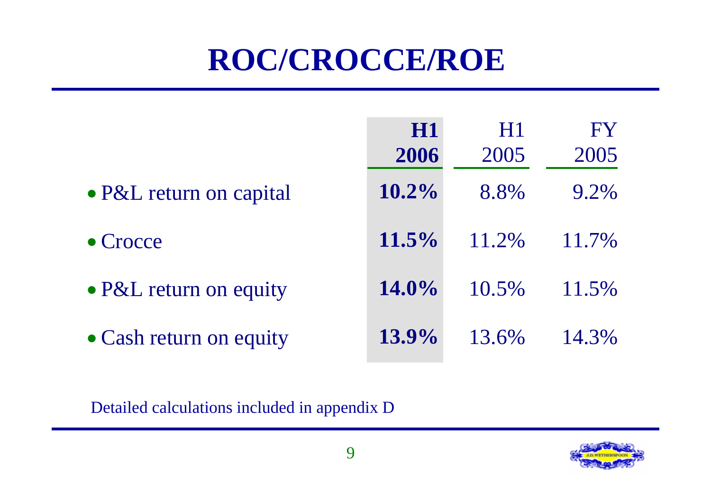#### **ROC/CROCCE/ROE**

|                         | <b>H1</b><br>2006 | H1<br>2005 | FY<br>2005 |
|-------------------------|-------------------|------------|------------|
| • P&L return on capital | $10.2\%$          | 8.8%       | 9.2%       |
| $\bullet$ Crocce        | $11.5\%$          | 11.2%      | 11.7%      |
| • P&L return on equity  | $14.0\%$          | 10.5%      | 11.5%      |
| • Cash return on equity | $13.9\%$          | 13.6%      | 14.3%      |

Detailed calculations included in appendix D

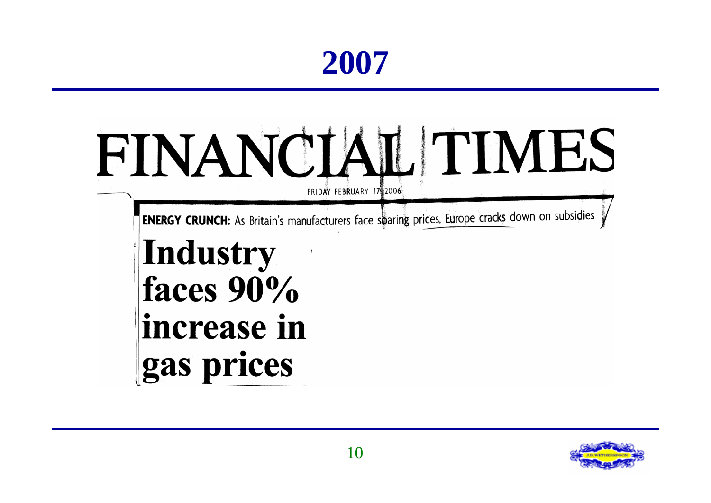#### **2007**

## FINANCIAL TIMES FRIDAY FEBRUARY 17 2006

**ENERGY CRUNCH:** As Britain's manufacturers face sparing prices, Europe cracks down on subsidies

#### Industry faces 90% increase in gas prices

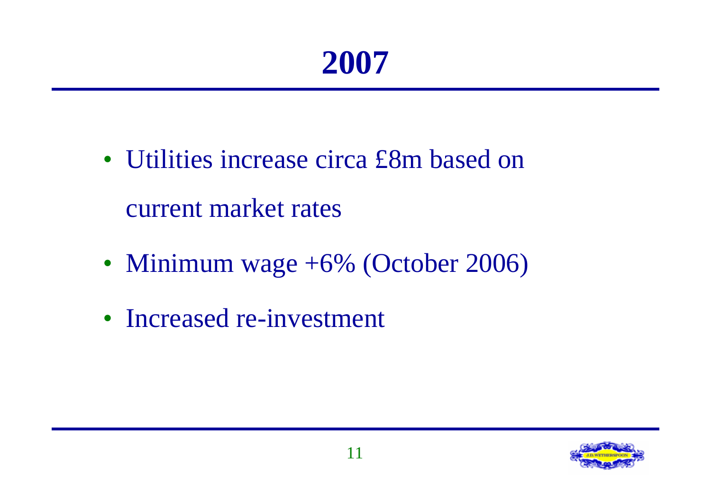#### **2007**

- Utilities increase circa £8m based on current market rates
- Minimum wage +6% (October 2006)
- Increased re-investment

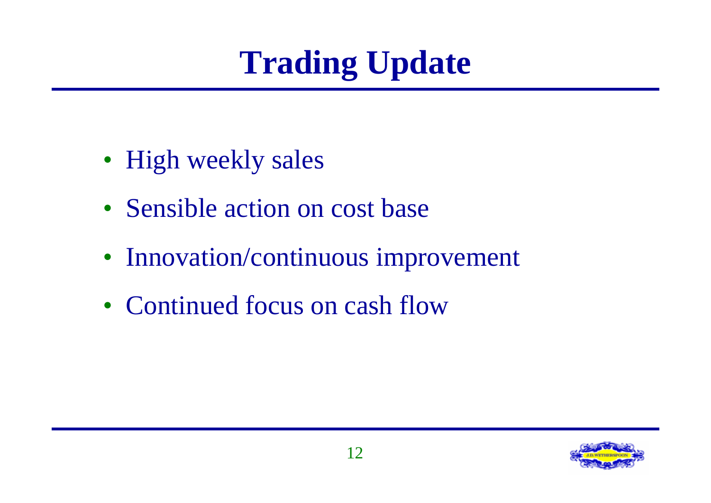# **Trading Update**

- High weekly sales
- Sensible action on cost base
- Innovation/continuous improvement
- Continued focus on cash flow

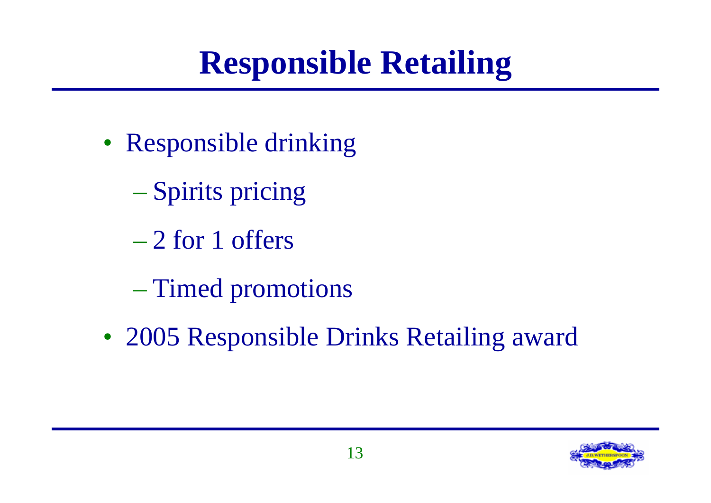#### **Responsible Retailing**

- Responsible drinking
	- Spirits pricing
	- 2 for 1 offers
	- Timed promotions
- 2005 Responsible Drinks Retailing award

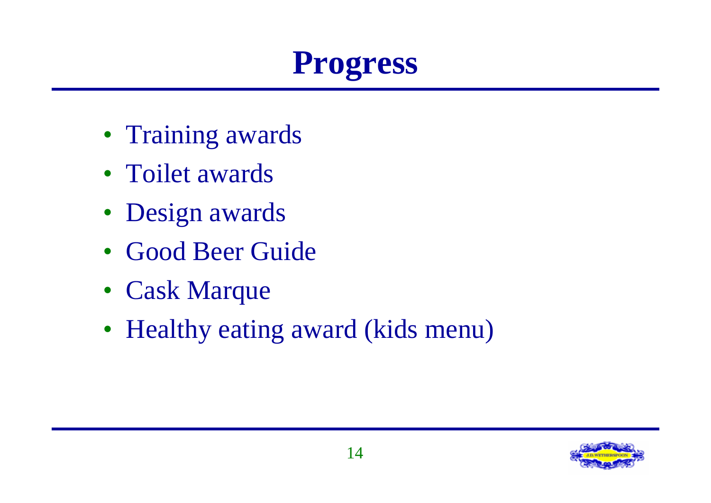

- Training awards
- Toilet awards
- Design awards
- Good Beer Guide
- Cask Marque
- Healthy eating award (kids menu)

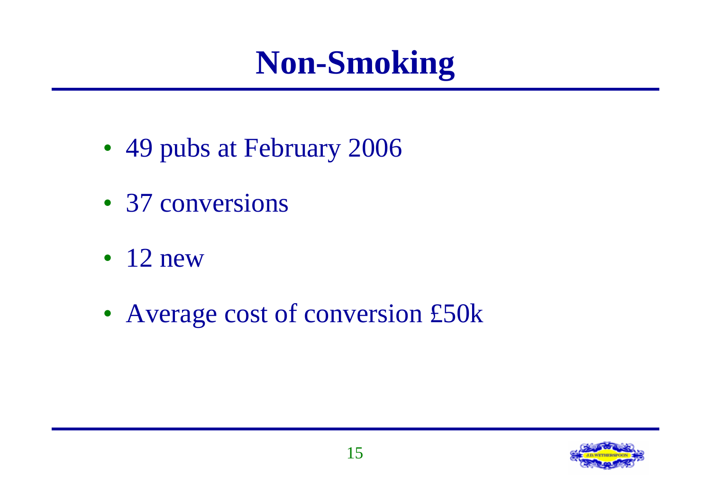#### **Non-Smoking**

- 49 pubs at February 2006
- 37 conversions
- $\cdot$  12 new
- Average cost of conversion £50k

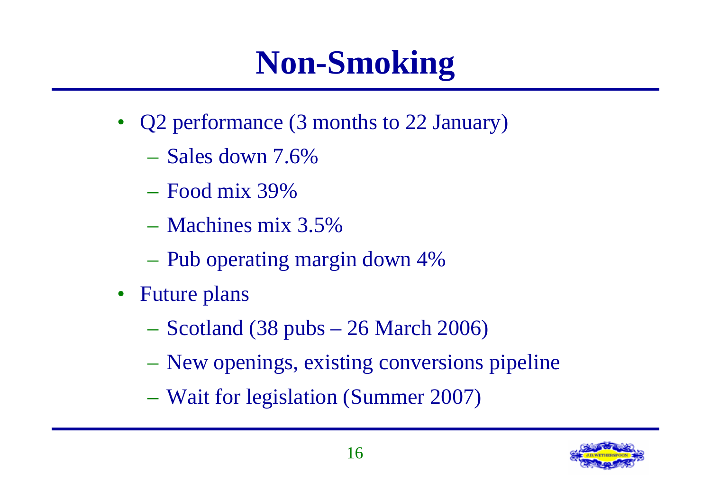### **Non-Smoking**

- Q2 performance (3 months to 22 January)
	- Sales down 7.6%
	- Food mix 39%
	- Machines mix 3.5%
	- Pub operating margin down 4%
- Future plans
	- $-$  Scotland (38 pubs  $-$  26 March 2006)
	- New openings, existing conversions pipeline
	- Wait for legislation (Summer 2007)

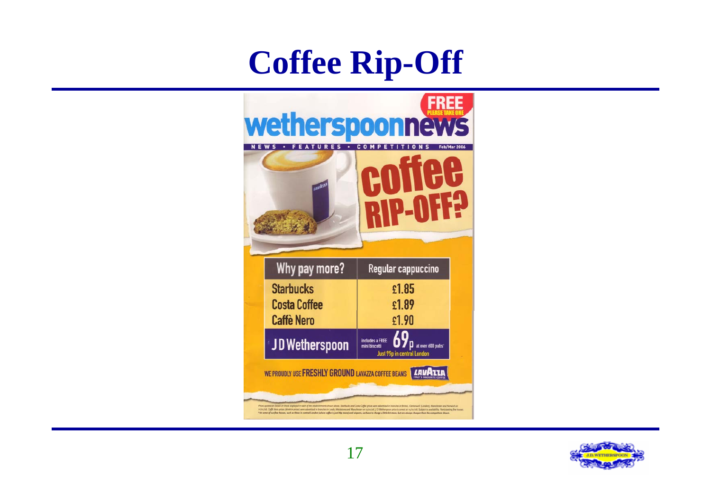#### **Coffee Rip-Off**



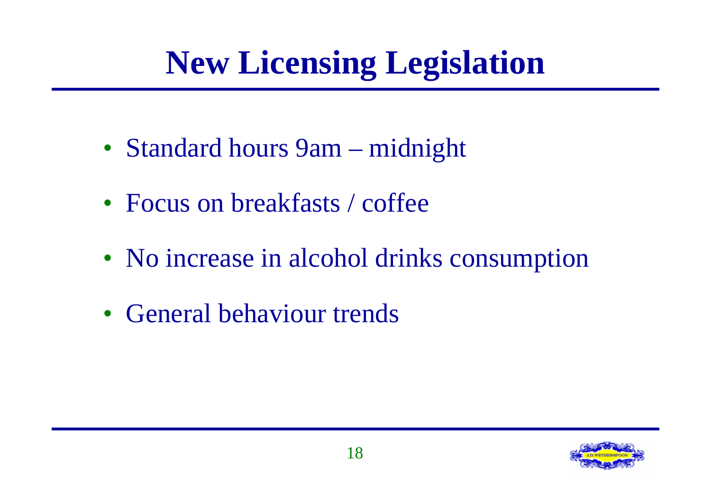### **New Licensing Legislation**

- Standard hours 9am midnight
- Focus on breakfasts / coffee
- No increase in alcohol drinks consumption
- General behaviour trends

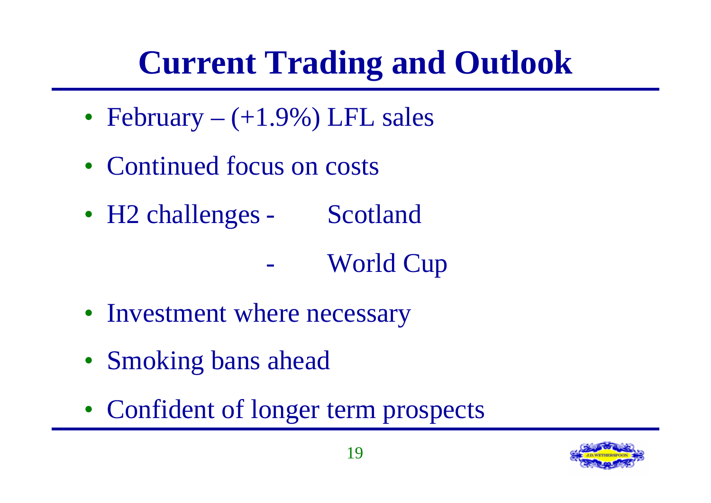# **Current Trading and Outlook**

- February  $(+1.9\%)$  LFL sales
- Continued focus on costs
- H2 challenges Scotland

World Cup

- Investment where necessary
- Smoking bans ahead
- Confident of longer term prospects

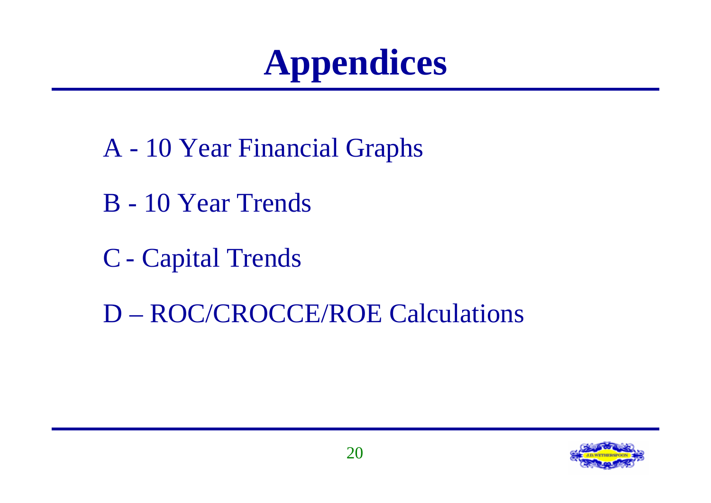# **Appendices**

- A 10 Year Financial Graphs
- B 10 Year Trends
- C Capital Trends
- D ROC/CROCCE/ROE Calculations

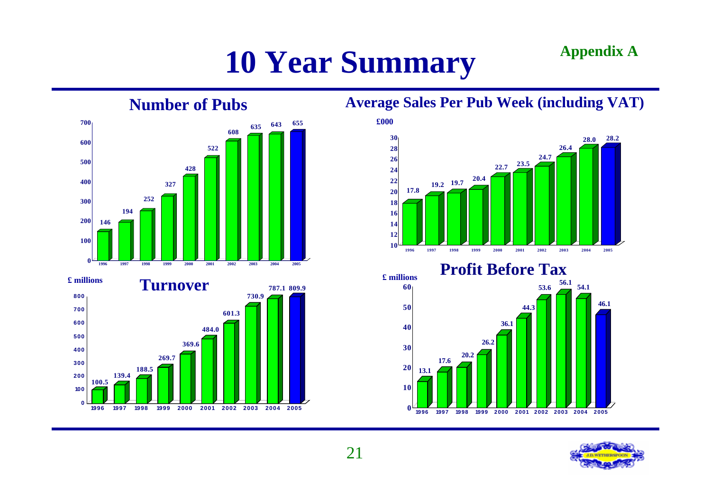#### **10 Year Summary Appendix A**



**100.5**

**139.4**

**188.5**

**269.7**

**1996 1997 1998 1999 2000 2001 2002 2003 2004 2005**

#### **Average Sales Per Pub Week (including VAT)**



**Profit Before Tax**



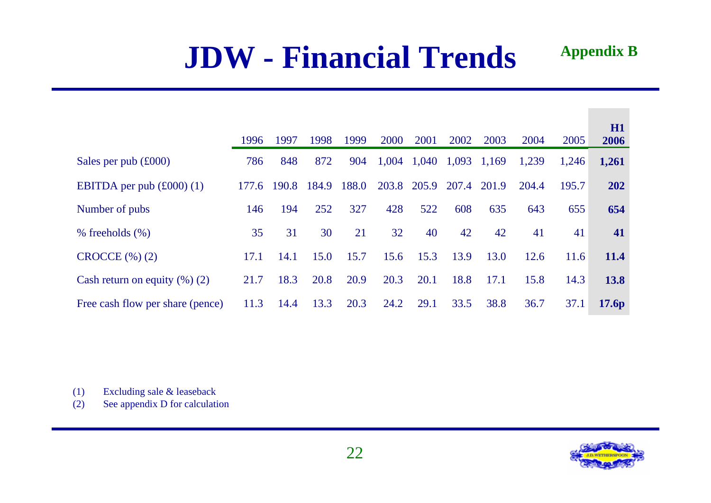#### **JDW - Financial Trends**

|                                         | 1996  | 1997  | 1998  | 1999  | 2000        | 2001  | 2002  | 2003  | 2004  | 2005  | H1<br>2006  |
|-----------------------------------------|-------|-------|-------|-------|-------------|-------|-------|-------|-------|-------|-------------|
| Sales per pub $(\text{\pounds}000)$     | 786   | 848   | 872   | 904   | 1,004       | 1,040 | 1,093 | 1,169 | 1,239 | 1,246 | 1,261       |
| EBITDA per pub $(\text{\pounds}000)(1)$ | 177.6 | 190.8 | 184.9 | 188.0 | 203.8 205.9 |       | 207.4 | 201.9 | 204.4 | 195.7 | 202         |
| Number of pubs                          | 146   | 194   | 252   | 327   | 428         | 522   | 608   | 635   | 643   | 655   | 654         |
| $%$ freeholds $(\%)$                    | 35    | 31    | 30    | 21    | 32          | 40    | 42    | 42    | 41    | 41    | 41          |
| $CROCCE$ $(\%)(2)$                      | 17.1  | 14.1  | 15.0  | 15.7  | 15.6        | 15.3  | 13.9  | 13.0  | 12.6  | 11.6  | <b>11.4</b> |
| Cash return on equity $(\%)$ (2)        | 21.7  | 18.3  | 20.8  | 20.9  | 20.3        | 20.1  | 18.8  | 17.1  | 15.8  | 14.3  | <b>13.8</b> |
| Free cash flow per share (pence)        | 11.3  | 14.4  | 13.3  | 20.3  | 24.2        | 29.1  | 33.5  | 38.8  | 36.7  | 37.1  | 17.6p       |

(1) Excluding sale & leaseback

(2) See appendix D for calculation

**Appendix B**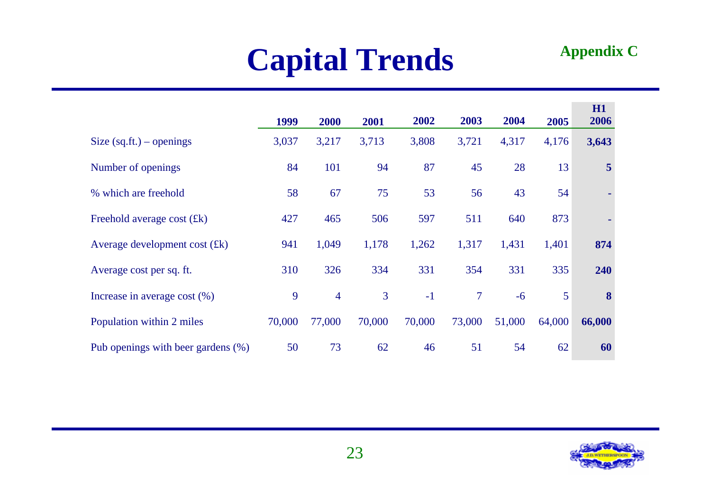#### **Capital Trends**

#### **Appendix C**

|                                    | 1999   | 2000           | 2001           | 2002   | 2003           | 2004   | 2005   | H1<br>2006     |
|------------------------------------|--------|----------------|----------------|--------|----------------|--------|--------|----------------|
| Size $(sq.fit.)$ – openings        | 3,037  | 3,217          | 3,713          | 3,808  | 3,721          | 4,317  | 4,176  | 3,643          |
| Number of openings                 | 84     | 101            | 94             | 87     | 45             | 28     | 13     | $\overline{5}$ |
| % which are freehold               | 58     | 67             | 75             | 53     | 56             | 43     | 54     |                |
| Freehold average cost $(fk)$       | 427    | 465            | 506            | 597    | 511            | 640    | 873    |                |
| Average development cost $(fk)$    | 941    | 1,049          | 1,178          | 1,262  | 1,317          | 1,431  | 1,401  | 874            |
| Average cost per sq. ft.           | 310    | 326            | 334            | 331    | 354            | 331    | 335    | 240            |
| Increase in average cost $(\%)$    | 9      | $\overline{4}$ | $\overline{3}$ | $-1$   | $\overline{7}$ | $-6$   | 5      | 8              |
| Population within 2 miles          | 70,000 | 77,000         | 70,000         | 70,000 | 73,000         | 51,000 | 64,000 | 66,000         |
| Pub openings with beer gardens (%) | 50     | 73             | 62             | 46     | 51             | 54     | 62     | 60             |

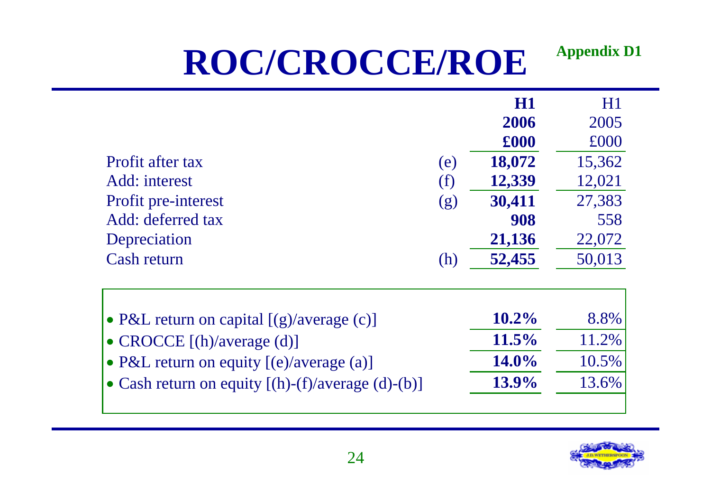#### **ROC/CROCCE/ROE Appendix D1**

|                                                           |     | H1<br>2006<br>£000 | H1<br>2005<br>£000 |
|-----------------------------------------------------------|-----|--------------------|--------------------|
| Profit after tax                                          | (e) | 18,072             | 15,362             |
| Add: interest                                             | (f) | 12,339             | 12,021             |
| Profit pre-interest                                       | (g) | 30,411             | 27,383             |
| Add: deferred tax                                         |     | 908                | 558                |
| Depreciation                                              |     | 21,136             | 22,072             |
| <b>Cash return</b>                                        | (h) | 52,455             | 50,013             |
| • P&L return on capital $[(g)/\text{average}(c)]$         |     | $10.2\%$           | 8.8%               |
| • CROCCE [(h)/average (d)]                                |     | $11.5\%$           | 11.2%              |
| • P&L return on equity [(e)/average (a)]                  |     | 14.0%              | 10.5%              |
| • Cash return on equity $[(h)-(f)/\text{average}(d)-(b)]$ |     | 13.9%              | 13.6%              |
|                                                           |     |                    |                    |